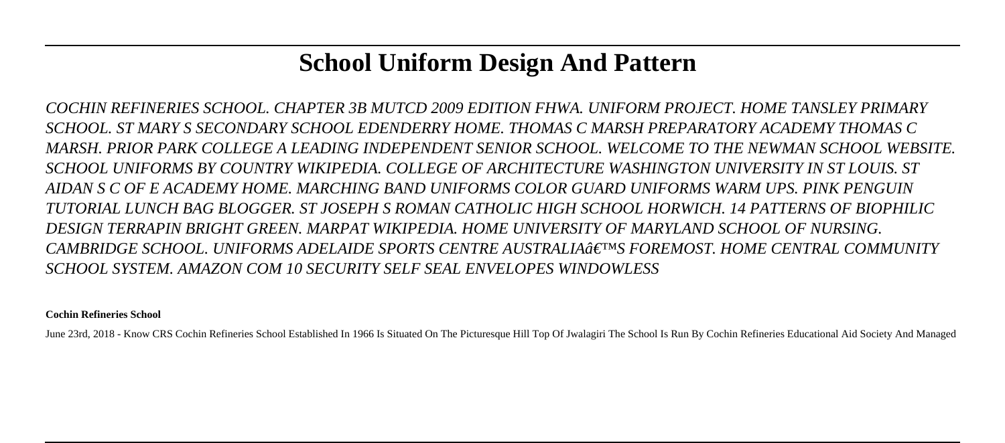# **School Uniform Design And Pattern**

*COCHIN REFINERIES SCHOOL. CHAPTER 3B MUTCD 2009 EDITION FHWA. UNIFORM PROJECT. HOME TANSLEY PRIMARY SCHOOL. ST MARY S SECONDARY SCHOOL EDENDERRY HOME. THOMAS C MARSH PREPARATORY ACADEMY THOMAS C MARSH. PRIOR PARK COLLEGE A LEADING INDEPENDENT SENIOR SCHOOL. WELCOME TO THE NEWMAN SCHOOL WEBSITE. SCHOOL UNIFORMS BY COUNTRY WIKIPEDIA. COLLEGE OF ARCHITECTURE WASHINGTON UNIVERSITY IN ST LOUIS. ST AIDAN S C OF E ACADEMY HOME. MARCHING BAND UNIFORMS COLOR GUARD UNIFORMS WARM UPS. PINK PENGUIN TUTORIAL LUNCH BAG BLOGGER. ST JOSEPH S ROMAN CATHOLIC HIGH SCHOOL HORWICH. 14 PATTERNS OF BIOPHILIC DESIGN TERRAPIN BRIGHT GREEN. MARPAT WIKIPEDIA. HOME UNIVERSITY OF MARYLAND SCHOOL OF NURSING. CAMBRIDGE SCHOOL. UNIFORMS ADELAIDE SPORTS CENTRE AUSTRALIA'S FOREMOST. HOME CENTRAL COMMUNITY SCHOOL SYSTEM. AMAZON COM 10 SECURITY SELF SEAL ENVELOPES WINDOWLESS*

**Cochin Refineries School**

June 23rd, 2018 - Know CRS Cochin Refineries School Established In 1966 Is Situated On The Picturesque Hill Top Of Jwalagiri The School Is Run By Cochin Refineries Educational Aid Society And Managed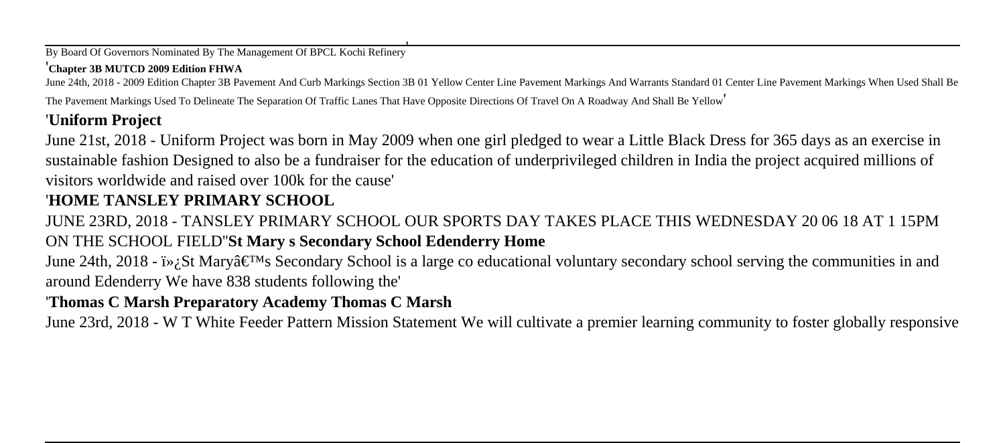By Board Of Governors Nominated By The Management Of BPCL Kochi Refinery'

#### '**Chapter 3B MUTCD 2009 Edition FHWA**

June 24th, 2018 - 2009 Edition Chapter 3B Pavement And Curb Markings Section 3B 01 Yellow Center Line Pavement Markings And Warrants Standard 01 Center Line Pavement Markings When Used Shall Be The Pavement Markings Used To Delineate The Separation Of Traffic Lanes That Have Opposite Directions Of Travel On A Roadway And Shall Be Yellow'

# '**Uniform Project**

June 21st, 2018 - Uniform Project was born in May 2009 when one girl pledged to wear a Little Black Dress for 365 days as an exercise in sustainable fashion Designed to also be a fundraiser for the education of underprivileged children in India the project acquired millions of visitors worldwide and raised over 100k for the cause'

# '**HOME TANSLEY PRIMARY SCHOOL**

JUNE 23RD, 2018 - TANSLEY PRIMARY SCHOOL OUR SPORTS DAY TAKES PLACE THIS WEDNESDAY 20 06 18 AT 1 15PM ON THE SCHOOL FIELD''**St Mary s Secondary School Edenderry Home**

June 24th, 2018 -  $i\gamma$ ; St Mary $\hat{\mathfrak{g}} \in \mathbb{N}$ s Secondary School is a large co educational voluntary secondary school serving the communities in and around Edenderry We have 838 students following the'

# '**Thomas C Marsh Preparatory Academy Thomas C Marsh**

June 23rd, 2018 - W T White Feeder Pattern Mission Statement We will cultivate a premier learning community to foster globally responsive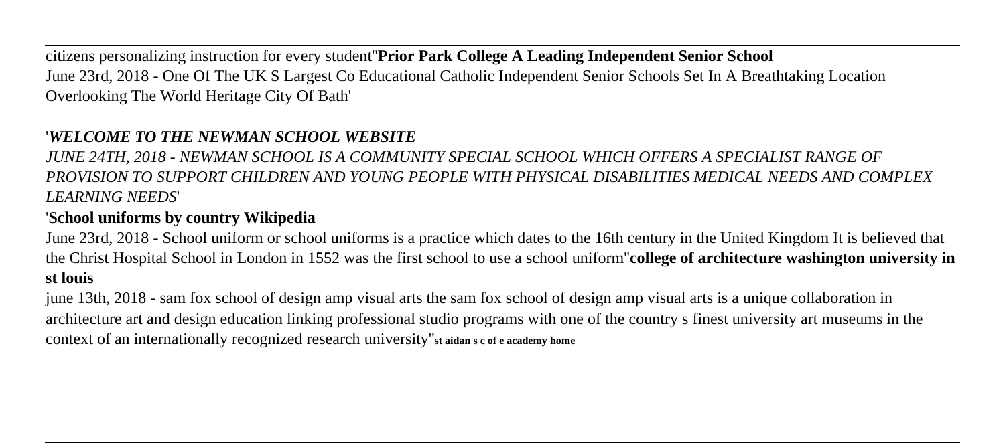citizens personalizing instruction for every student''**Prior Park College A Leading Independent Senior School** June 23rd, 2018 - One Of The UK S Largest Co Educational Catholic Independent Senior Schools Set In A Breathtaking Location Overlooking The World Heritage City Of Bath'

### '*WELCOME TO THE NEWMAN SCHOOL WEBSITE*

*JUNE 24TH, 2018 - NEWMAN SCHOOL IS A COMMUNITY SPECIAL SCHOOL WHICH OFFERS A SPECIALIST RANGE OF PROVISION TO SUPPORT CHILDREN AND YOUNG PEOPLE WITH PHYSICAL DISABILITIES MEDICAL NEEDS AND COMPLEX LEARNING NEEDS*'

### '**School uniforms by country Wikipedia**

June 23rd, 2018 - School uniform or school uniforms is a practice which dates to the 16th century in the United Kingdom It is believed that the Christ Hospital School in London in 1552 was the first school to use a school uniform''**college of architecture washington university in st louis**

june 13th, 2018 - sam fox school of design amp visual arts the sam fox school of design amp visual arts is a unique collaboration in architecture art and design education linking professional studio programs with one of the country s finest university art museums in the context of an internationally recognized research university''**st aidan s c of e academy home**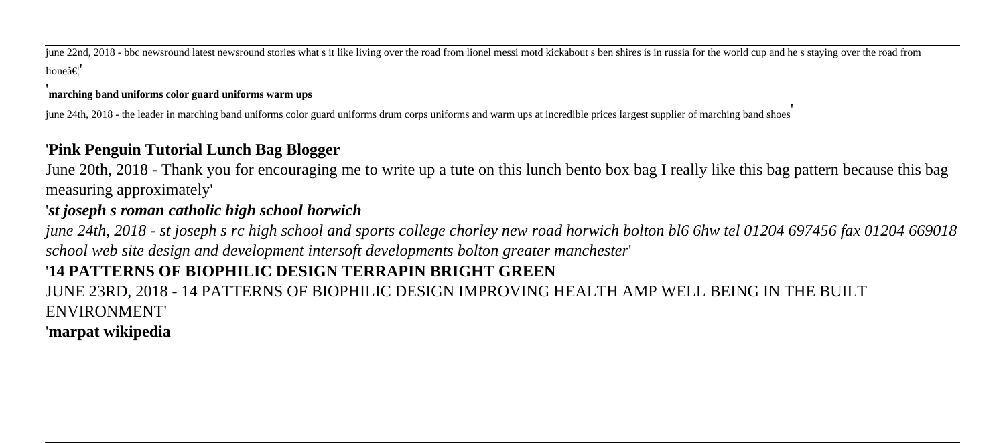june 22nd, 2018 - bbc newsround latest newsround stories what s it like living over the road from lionel messi motd kickabout s ben shires is in russia for the world cup and he s staying over the road from  $l$ ioneâ $\in$ !

#### **marching band uniforms color guard uniforms warm ups**

june 24th, 2018 - the leader in marching band uniforms color guard uniforms drum corps uniforms and warm ups at incredible prices largest supplier of marching band shoes'

### '**Pink Penguin Tutorial Lunch Bag Blogger**

June 20th, 2018 - Thank you for encouraging me to write up a tute on this lunch bento box bag I really like this bag pattern because this bag measuring approximately'

#### '*st joseph s roman catholic high school horwich*

*june 24th, 2018 - st joseph s rc high school and sports college chorley new road horwich bolton bl6 6hw tel 01204 697456 fax 01204 669018 school web site design and development intersoft developments bolton greater manchester*'

# '**14 PATTERNS OF BIOPHILIC DESIGN TERRAPIN BRIGHT GREEN**

JUNE 23RD, 2018 - 14 PATTERNS OF BIOPHILIC DESIGN IMPROVING HEALTH AMP WELL BEING IN THE BUILT ENVIRONMENT'

# '**marpat wikipedia**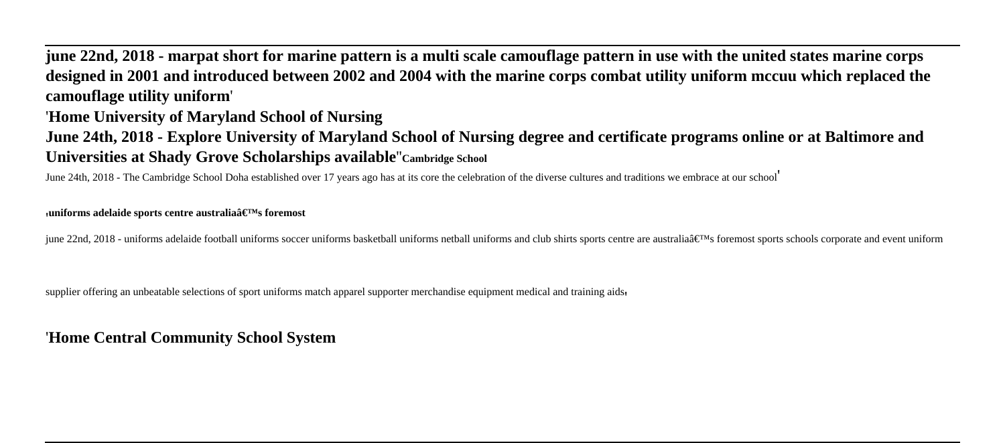# **june 22nd, 2018 - marpat short for marine pattern is a multi scale camouflage pattern in use with the united states marine corps designed in 2001 and introduced between 2002 and 2004 with the marine corps combat utility uniform mccuu which replaced the camouflage utility uniform**'

#### '**Home University of Maryland School of Nursing**

**June 24th, 2018 - Explore University of Maryland School of Nursing degree and certificate programs online or at Baltimore and Universities at Shady Grove Scholarships available**''**Cambridge School**

June 24th, 2018 - The Cambridge School Doha established over 17 years ago has at its core the celebration of the diverse cultures and traditions we embrace at our school'

#### *µ***uniforms adelaide sports centre australia's foremost**

june 22nd, 2018 - uniforms adelaide football uniforms soccer uniforms basketball uniforms netball uniforms and club shirts sports centre are australia's foremost sports schools corporate and event uniform

supplier offering an unbeatable selections of sport uniforms match apparel supporter merchandise equipment medical and training aids

#### '**Home Central Community School System**